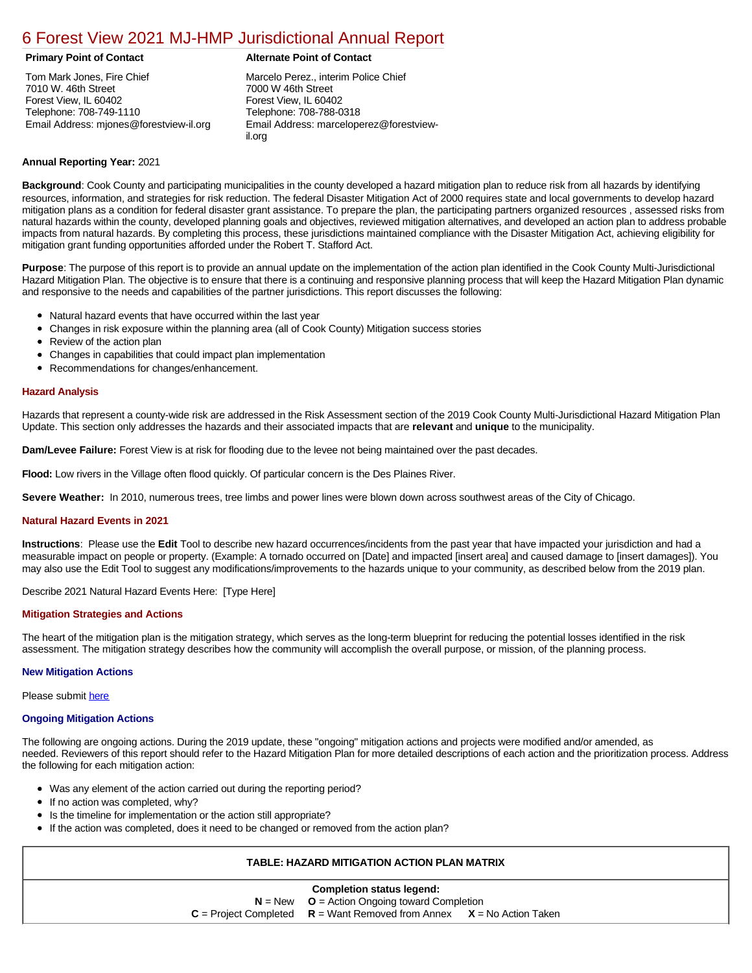# [6 Forest View 2021 MJ-HMP Jurisdictional Annual Report](https://forestview.isc-cemp.com/Cemp/Details?id=8322738)

Tom Mark Jones, Fire Chief 7010 W. 46th Street Forest View, IL 60402 Telephone: 708-749-1110 Email Address: mjones@forestview-il.org

## **Primary Point of Contact Alternate Point of Contact**

Marcelo Perez., interim Police Chief 7000 W 46th Street Forest View, IL 60402 Telephone: 708-788-0318 Email Address: marceloperez@forestviewil.org

### **Annual Reporting Year:** 2021

**Background**: Cook County and participating municipalities in the county developed a hazard mitigation plan to reduce risk from all hazards by identifying resources, information, and strategies for risk reduction. The federal Disaster Mitigation Act of 2000 requires state and local governments to develop hazard mitigation plans as a condition for federal disaster grant assistance. To prepare the plan, the participating partners organized resources , assessed risks from natural hazards within the county, developed planning goals and objectives, reviewed mitigation alternatives, and developed an action plan to address probable impacts from natural hazards. By completing this process, these jurisdictions maintained compliance with the Disaster Mitigation Act, achieving eligibility for mitigation grant funding opportunities afforded under the Robert T. Stafford Act.

**Purpose**: The purpose of this report is to provide an annual update on the implementation of the action plan identified in the Cook County Multi-Jurisdictional Hazard Mitigation Plan. The objective is to ensure that there is a continuing and responsive planning process that will keep the Hazard Mitigation Plan dynamic and responsive to the needs and capabilities of the partner jurisdictions. This report discusses the following:

- Natural hazard events that have occurred within the last year
- Changes in risk exposure within the planning area (all of Cook County) Mitigation success stories
- $\bullet$ Review of the action plan
- Changes in capabilities that could impact plan implementation
- Recommendations for changes/enhancement.

#### **Hazard Analysis**

Hazards that represent a county-wide risk are addressed in the Risk Assessment section of the 2019 Cook County Multi-Jurisdictional Hazard Mitigation Plan Update. This section only addresses the hazards and their associated impacts that are **relevant** and **unique** to the municipality.

**Dam/Levee Failure:** Forest View is at risk for flooding due to the levee not being maintained over the past decades.

**Flood:** Low rivers in the Village often flood quickly. Of particular concern is the Des Plaines River.

**Severe Weather:** In 2010, numerous trees, tree limbs and power lines were blown down across southwest areas of the City of Chicago.

#### **Natural Hazard Events in 2021**

**Instructions**: Please use the **Edit** Tool to describe new hazard occurrences/incidents from the past year that have impacted your jurisdiction and had a measurable impact on people or property. (Example: A tornado occurred on [Date] and impacted [insert area] and caused damage to [insert damages]). You may also use the Edit Tool to suggest any modifications/improvements to the hazards unique to your community, as described below from the 2019 plan.

Describe 2021 Natural Hazard Events Here: [Type Here]

#### **Mitigation Strategies and Actions**

The heart of the mitigation plan is the mitigation strategy, which serves as the long-term blueprint for reducing the potential losses identified in the risk assessment. The mitigation strategy describes how the community will accomplish the overall purpose, or mission, of the planning process.

#### **New Mitigation Actions**

Please submit [here](https://integratedsolutions.wufoo.com/forms/mg21jvf0jn639o/)

#### **Ongoing Mitigation Actions**

The following are ongoing actions. During the 2019 update, these "ongoing" mitigation actions and projects were modified and/or amended, as needed. Reviewers of this report should refer to the Hazard Mitigation Plan for more detailed descriptions of each action and the prioritization process. Address the following for each mitigation action:

- Was any element of the action carried out during the reporting period?
- If no action was completed, why?
- **•** Is the timeline for implementation or the action still appropriate?
- If the action was completed, does it need to be changed or removed from the action plan?

# **TABLE: HAZARD MITIGATION ACTION PLAN MATRIX**

|  | <b>Completion status legend:</b><br>$N = New$ $Q =$ Action Ongoing toward Completion |  |  |  |
|--|--------------------------------------------------------------------------------------|--|--|--|
|  |                                                                                      |  |  |  |
|  | $C =$ Project Completed $R =$ Want Removed from Annex $X =$ No Action Taken          |  |  |  |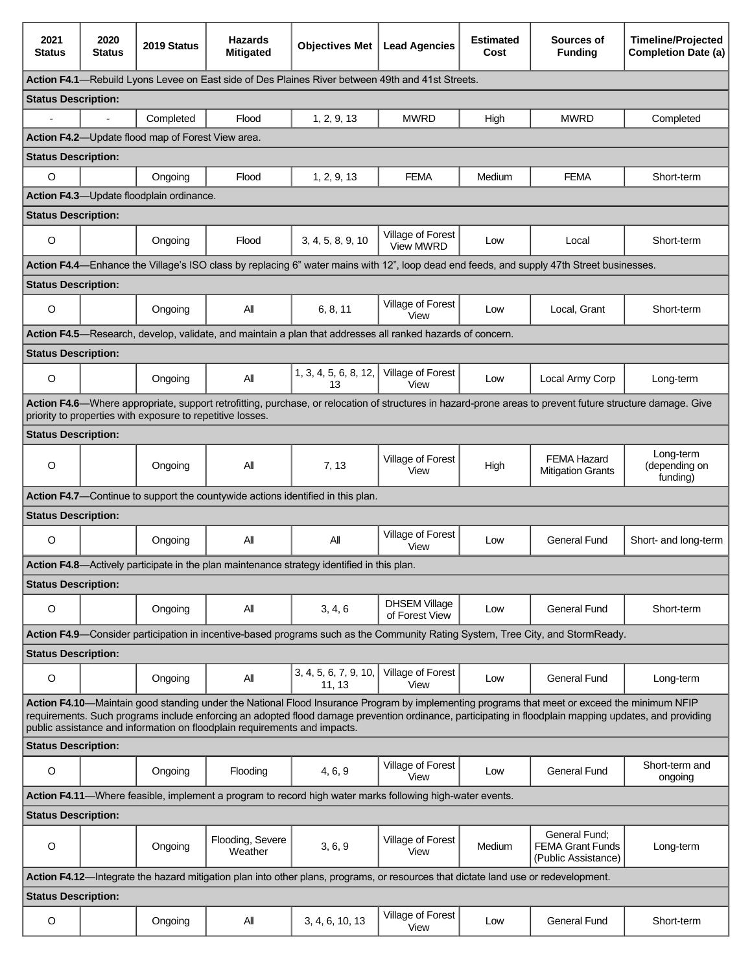| 2021<br><b>Status</b>                                                                                                                                                                                                                                                                                                                                                               | 2020<br><b>Status</b> | 2019 Status                                                | <b>Hazards</b><br><b>Mitigated</b> | <b>Objectives Met</b>                                                                                      | <b>Lead Agencies</b>                   | <b>Estimated</b><br>Cost | Sources of<br><b>Funding</b>                                                                                                                              | <b>Timeline/Projected</b><br><b>Completion Date (a)</b> |
|-------------------------------------------------------------------------------------------------------------------------------------------------------------------------------------------------------------------------------------------------------------------------------------------------------------------------------------------------------------------------------------|-----------------------|------------------------------------------------------------|------------------------------------|------------------------------------------------------------------------------------------------------------|----------------------------------------|--------------------------|-----------------------------------------------------------------------------------------------------------------------------------------------------------|---------------------------------------------------------|
| Action F4.1—Rebuild Lyons Levee on East side of Des Plaines River between 49th and 41st Streets.                                                                                                                                                                                                                                                                                    |                       |                                                            |                                    |                                                                                                            |                                        |                          |                                                                                                                                                           |                                                         |
| <b>Status Description:</b>                                                                                                                                                                                                                                                                                                                                                          |                       |                                                            |                                    |                                                                                                            |                                        |                          |                                                                                                                                                           |                                                         |
|                                                                                                                                                                                                                                                                                                                                                                                     |                       | Completed                                                  | Flood                              | 1, 2, 9, 13                                                                                                | <b>MWRD</b>                            | High                     | <b>MWRD</b>                                                                                                                                               | Completed                                               |
|                                                                                                                                                                                                                                                                                                                                                                                     |                       | Action F4.2-Update flood map of Forest View area.          |                                    |                                                                                                            |                                        |                          |                                                                                                                                                           |                                                         |
| <b>Status Description:</b>                                                                                                                                                                                                                                                                                                                                                          |                       |                                                            |                                    |                                                                                                            |                                        |                          |                                                                                                                                                           |                                                         |
| $\circ$                                                                                                                                                                                                                                                                                                                                                                             |                       | Ongoing                                                    | Flood                              | 1, 2, 9, 13                                                                                                | <b>FEMA</b>                            | Medium                   | <b>FEMA</b>                                                                                                                                               | Short-term                                              |
|                                                                                                                                                                                                                                                                                                                                                                                     |                       | Action F4.3-Update floodplain ordinance.                   |                                    |                                                                                                            |                                        |                          |                                                                                                                                                           |                                                         |
| <b>Status Description:</b>                                                                                                                                                                                                                                                                                                                                                          |                       |                                                            |                                    |                                                                                                            |                                        |                          |                                                                                                                                                           |                                                         |
| $\circ$                                                                                                                                                                                                                                                                                                                                                                             |                       | Ongoing                                                    | Flood                              | 3, 4, 5, 8, 9, 10                                                                                          | Village of Forest<br><b>View MWRD</b>  | Low                      | Local                                                                                                                                                     | Short-term                                              |
|                                                                                                                                                                                                                                                                                                                                                                                     |                       |                                                            |                                    |                                                                                                            |                                        |                          | Action F4.4—Enhance the Village's ISO class by replacing 6" water mains with 12", loop dead end feeds, and supply 47th Street businesses.                 |                                                         |
| <b>Status Description:</b>                                                                                                                                                                                                                                                                                                                                                          |                       |                                                            |                                    |                                                                                                            |                                        |                          |                                                                                                                                                           |                                                         |
| O                                                                                                                                                                                                                                                                                                                                                                                   |                       | Ongoing                                                    | All                                | 6, 8, 11                                                                                                   | Village of Forest<br>View              | Low                      | Local, Grant                                                                                                                                              | Short-term                                              |
|                                                                                                                                                                                                                                                                                                                                                                                     |                       |                                                            |                                    | Action F4.5—Research, develop, validate, and maintain a plan that addresses all ranked hazards of concern. |                                        |                          |                                                                                                                                                           |                                                         |
| <b>Status Description:</b>                                                                                                                                                                                                                                                                                                                                                          |                       |                                                            |                                    |                                                                                                            |                                        |                          |                                                                                                                                                           |                                                         |
| $\circ$                                                                                                                                                                                                                                                                                                                                                                             |                       | Ongoing                                                    | All                                | 1, 3, 4, 5, 6, 8, 12,<br>13                                                                                | Village of Forest<br>View              | Low                      | Local Army Corp                                                                                                                                           | Long-term                                               |
|                                                                                                                                                                                                                                                                                                                                                                                     |                       | priority to properties with exposure to repetitive losses. |                                    |                                                                                                            |                                        |                          | Action F4.6—Where appropriate, support retrofitting, purchase, or relocation of structures in hazard-prone areas to prevent future structure damage. Give |                                                         |
| <b>Status Description:</b>                                                                                                                                                                                                                                                                                                                                                          |                       |                                                            |                                    |                                                                                                            |                                        |                          |                                                                                                                                                           |                                                         |
| O                                                                                                                                                                                                                                                                                                                                                                                   |                       | Ongoing                                                    | All                                | 7, 13                                                                                                      | Village of Forest<br>View              | High                     | <b>FEMA Hazard</b><br><b>Mitigation Grants</b>                                                                                                            | Long-term<br>(depending on<br>funding)                  |
|                                                                                                                                                                                                                                                                                                                                                                                     |                       |                                                            |                                    | Action F4.7—Continue to support the countywide actions identified in this plan.                            |                                        |                          |                                                                                                                                                           |                                                         |
| <b>Status Description:</b>                                                                                                                                                                                                                                                                                                                                                          |                       |                                                            |                                    |                                                                                                            |                                        |                          |                                                                                                                                                           |                                                         |
| O                                                                                                                                                                                                                                                                                                                                                                                   |                       | Ongoing                                                    | All                                | All                                                                                                        | Village of Forest<br>View              | Low                      | <b>General Fund</b>                                                                                                                                       | Short- and long-term                                    |
|                                                                                                                                                                                                                                                                                                                                                                                     |                       |                                                            |                                    | Action F4.8—Actively participate in the plan maintenance strategy identified in this plan.                 |                                        |                          |                                                                                                                                                           |                                                         |
| <b>Status Description:</b>                                                                                                                                                                                                                                                                                                                                                          |                       |                                                            |                                    |                                                                                                            |                                        |                          |                                                                                                                                                           |                                                         |
| O                                                                                                                                                                                                                                                                                                                                                                                   |                       | Ongoing                                                    | ΑIΙ                                | 3, 4, 6                                                                                                    | <b>DHSEM Village</b><br>of Forest View | Low                      | <b>General Fund</b>                                                                                                                                       | Short-term                                              |
|                                                                                                                                                                                                                                                                                                                                                                                     |                       |                                                            |                                    |                                                                                                            |                                        |                          | Action F4.9—Consider participation in incentive-based programs such as the Community Rating System, Tree City, and StormReady.                            |                                                         |
| <b>Status Description:</b>                                                                                                                                                                                                                                                                                                                                                          |                       |                                                            |                                    |                                                                                                            |                                        |                          |                                                                                                                                                           |                                                         |
| $\mathsf O$                                                                                                                                                                                                                                                                                                                                                                         |                       | Ongoing                                                    | All                                | 3, 4, 5, 6, 7, 9, 10,<br>11, 13                                                                            | Village of Forest<br>View              | Low                      | <b>General Fund</b>                                                                                                                                       | Long-term                                               |
| Action F4.10-Maintain good standing under the National Flood Insurance Program by implementing programs that meet or exceed the minimum NFIP<br>requirements. Such programs include enforcing an adopted flood damage prevention ordinance, participating in floodplain mapping updates, and providing<br>public assistance and information on floodplain requirements and impacts. |                       |                                                            |                                    |                                                                                                            |                                        |                          |                                                                                                                                                           |                                                         |
| <b>Status Description:</b>                                                                                                                                                                                                                                                                                                                                                          |                       |                                                            |                                    |                                                                                                            |                                        |                          |                                                                                                                                                           |                                                         |
| O                                                                                                                                                                                                                                                                                                                                                                                   |                       | Ongoing                                                    | Flooding                           | 4, 6, 9                                                                                                    | Village of Forest<br>View              | Low                      | <b>General Fund</b>                                                                                                                                       | Short-term and<br>ongoing                               |
| Action F4.11-Where feasible, implement a program to record high water marks following high-water events.                                                                                                                                                                                                                                                                            |                       |                                                            |                                    |                                                                                                            |                                        |                          |                                                                                                                                                           |                                                         |
| <b>Status Description:</b>                                                                                                                                                                                                                                                                                                                                                          |                       |                                                            |                                    |                                                                                                            |                                        |                          |                                                                                                                                                           |                                                         |
| O                                                                                                                                                                                                                                                                                                                                                                                   |                       | Ongoing                                                    | Flooding, Severe<br>Weather        | 3, 6, 9                                                                                                    | Village of Forest<br>View              | Medium                   | General Fund;<br><b>FEMA Grant Funds</b><br>(Public Assistance)                                                                                           | Long-term                                               |
| Action F4.12—Integrate the hazard mitigation plan into other plans, programs, or resources that dictate land use or redevelopment.                                                                                                                                                                                                                                                  |                       |                                                            |                                    |                                                                                                            |                                        |                          |                                                                                                                                                           |                                                         |
| <b>Status Description:</b>                                                                                                                                                                                                                                                                                                                                                          |                       |                                                            |                                    |                                                                                                            |                                        |                          |                                                                                                                                                           |                                                         |
| O                                                                                                                                                                                                                                                                                                                                                                                   |                       | Ongoing                                                    | All                                | 3, 4, 6, 10, 13                                                                                            | Village of Forest<br>View              | Low                      | <b>General Fund</b>                                                                                                                                       | Short-term                                              |